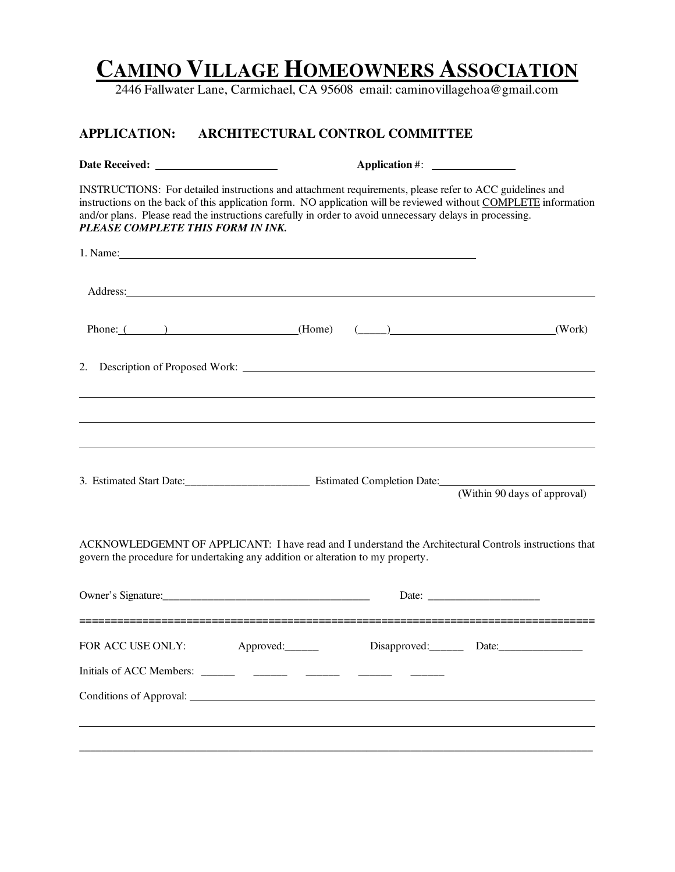## **CAMINO VILLAGE HOMEOWNERS ASSOCIATION**

2446 Fallwater Lane, Carmichael, CA 95608 email: caminovillagehoa@gmail.com

## **APPLICATION: ARCHITECTURAL CONTROL COMMITTEE**

| INSTRUCTIONS: For detailed instructions and attachment requirements, please refer to ACC guidelines and<br>instructions on the back of this application form. NO application will be reviewed without COMPLETE information<br>and/or plans. Please read the instructions carefully in order to avoid unnecessary delays in processing.<br>PLEASE COMPLETE THIS FORM IN INK. |           |                              |        |
|-----------------------------------------------------------------------------------------------------------------------------------------------------------------------------------------------------------------------------------------------------------------------------------------------------------------------------------------------------------------------------|-----------|------------------------------|--------|
| 1. Name: 2008. 2008. 2009. 2009. 2010. 2010. 2010. 2010. 2010. 2010. 2010. 2010. 2010. 2010. 2010. 2010. 2010                                                                                                                                                                                                                                                               |           |                              |        |
| Address: No. 2014 19:30 and 2014 19:30 and 20:30 and 20:30 and 20:30 and 20:30 and 20:30 and 20:30 and 20:30 and 20:30 and 20:30 and 20:30 and 20:30 and 20:30 and 20:30 and 20:30 and 20:30 and 20:30 and 20:30 and 20:30 and                                                                                                                                              |           |                              |        |
| Phone: $($ ( $)$ (Home) $($ $)$                                                                                                                                                                                                                                                                                                                                             |           |                              | (Work) |
| 2.                                                                                                                                                                                                                                                                                                                                                                          |           |                              |        |
| 3. Estimated Start Date: Estimated Completion Date:                                                                                                                                                                                                                                                                                                                         |           | (Within 90 days of approval) |        |
| ACKNOWLEDGEMNT OF APPLICANT: I have read and I understand the Architectural Controls instructions that<br>govern the procedure for undertaking any addition or alteration to my property.                                                                                                                                                                                   |           |                              |        |
|                                                                                                                                                                                                                                                                                                                                                                             |           |                              |        |
| FOR ACC USE ONLY:                                                                                                                                                                                                                                                                                                                                                           | Approved: | Disapproved: Date: Date:     |        |
|                                                                                                                                                                                                                                                                                                                                                                             |           |                              |        |
| Conditions of Approval: New York 1989                                                                                                                                                                                                                                                                                                                                       |           |                              |        |
|                                                                                                                                                                                                                                                                                                                                                                             |           |                              |        |
|                                                                                                                                                                                                                                                                                                                                                                             |           |                              |        |
|                                                                                                                                                                                                                                                                                                                                                                             |           |                              |        |